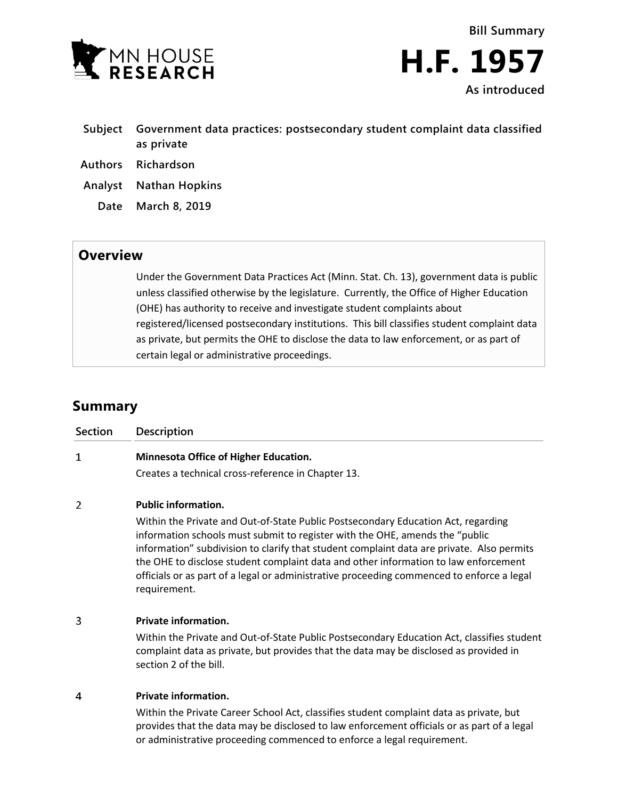



- **Subject Government data practices: postsecondary student complaint data classified as private**
- **Authors Richardson**
- **Analyst Nathan Hopkins**
	- **Date March 8, 2019**

## **Overview**

Under the Government Data Practices Act (Minn. Stat. Ch. 13), government data is public unless classified otherwise by the legislature. Currently, the Office of Higher Education (OHE) has authority to receive and investigate student complaints about registered/licensed postsecondary institutions. This bill classifies student complaint data as private, but permits the OHE to disclose the data to law enforcement, or as part of certain legal or administrative proceedings.

## **Summary**

| <b>Section</b> | <b>Description</b>                                                                                                                                                                                                                                                                                                                                                                                                                                                 |
|----------------|--------------------------------------------------------------------------------------------------------------------------------------------------------------------------------------------------------------------------------------------------------------------------------------------------------------------------------------------------------------------------------------------------------------------------------------------------------------------|
| $\mathbf 1$    | <b>Minnesota Office of Higher Education.</b>                                                                                                                                                                                                                                                                                                                                                                                                                       |
|                | Creates a technical cross-reference in Chapter 13.                                                                                                                                                                                                                                                                                                                                                                                                                 |
| 2              | <b>Public information.</b>                                                                                                                                                                                                                                                                                                                                                                                                                                         |
|                | Within the Private and Out-of-State Public Postsecondary Education Act, regarding<br>information schools must submit to register with the OHE, amends the "public<br>information" subdivision to clarify that student complaint data are private. Also permits<br>the OHE to disclose student complaint data and other information to law enforcement<br>officials or as part of a legal or administrative proceeding commenced to enforce a legal<br>requirement. |
| 3              | <b>Private information.</b>                                                                                                                                                                                                                                                                                                                                                                                                                                        |
|                | Within the Private and Out-of-State Public Postsecondary Education Act, classifies student<br>complaint data as private, but provides that the data may be disclosed as provided in<br>section 2 of the bill.                                                                                                                                                                                                                                                      |
| 4              | <b>Private information.</b>                                                                                                                                                                                                                                                                                                                                                                                                                                        |

Within the Private Career School Act, classifies student complaint data as private, but provides that the data may be disclosed to law enforcement officials or as part of a legal or administrative proceeding commenced to enforce a legal requirement.